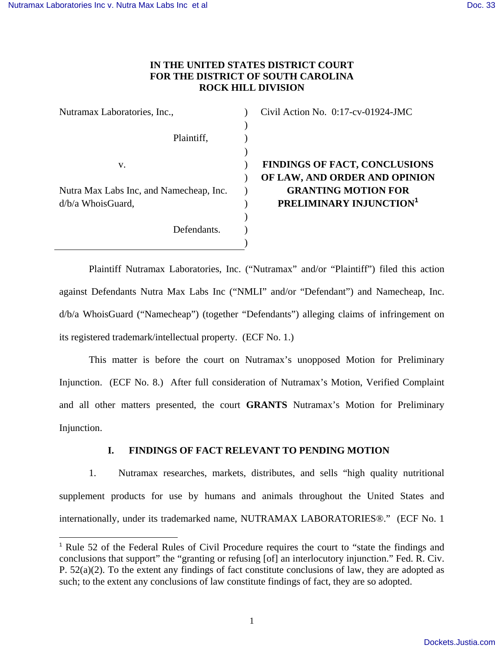# **IN THE UNITED STATES DISTRICT COURT FOR THE DISTRICT OF SOUTH CAROLINA ROCK HILL DIVISION**

| Nutramax Laboratories, Inc.,            | Civil Action No. 0:17-cv-01924-JMC   |
|-----------------------------------------|--------------------------------------|
|                                         |                                      |
| Plaintiff,                              |                                      |
|                                         |                                      |
| v.                                      | <b>FINDINGS OF FACT, CONCLUSIONS</b> |
|                                         | OF LAW, AND ORDER AND OPINION        |
| Nutra Max Labs Inc, and Namecheap, Inc. | <b>GRANTING MOTION FOR</b>           |
| $d/b/a$ Whois Guard,                    | PRELIMINARY INJUNCTION <sup>1</sup>  |
|                                         |                                      |
| Defendants.                             |                                      |
|                                         |                                      |

 Plaintiff Nutramax Laboratories, Inc. ("Nutramax" and/or "Plaintiff") filed this action against Defendants Nutra Max Labs Inc ("NMLI" and/or "Defendant") and Namecheap, Inc. d/b/a WhoisGuard ("Namecheap") (together "Defendants") alleging claims of infringement on its registered trademark/intellectual property. (ECF No. 1.)

This matter is before the court on Nutramax's unopposed Motion for Preliminary Injunction. (ECF No. 8.) After full consideration of Nutramax's Motion, Verified Complaint and all other matters presented, the court **GRANTS** Nutramax's Motion for Preliminary Injunction.

# **I. FINDINGS OF FACT RELEVANT TO PENDING MOTION**

1. Nutramax researches, markets, distributes, and sells "high quality nutritional supplement products for use by humans and animals throughout the United States and internationally, under its trademarked name, NUTRAMAX LABORATORIES®." (ECF No. 1

<sup>&</sup>lt;sup>1</sup> Rule 52 of the Federal Rules of Civil Procedure requires the court to "state the findings and conclusions that support" the "granting or refusing [of] an interlocutory injunction." Fed. R. Civ. P. 52(a)(2). To the extent any findings of fact constitute conclusions of law, they are adopted as such; to the extent any conclusions of law constitute findings of fact, they are so adopted.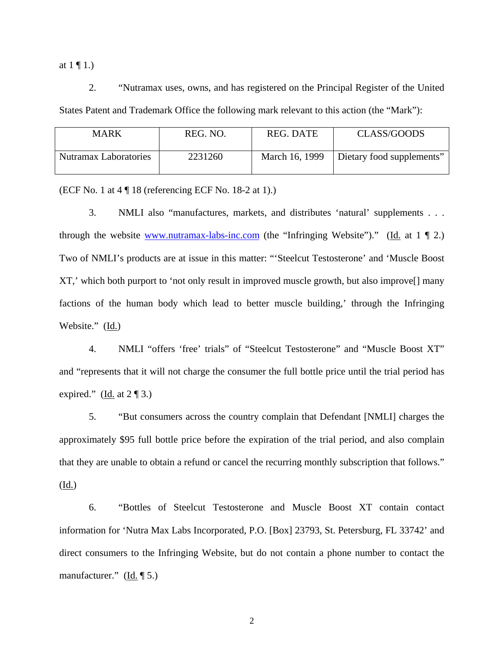at  $1 \n\P 1.$ )

2. "Nutramax uses, owns, and has registered on the Principal Register of the United States Patent and Trademark Office the following mark relevant to this action (the "Mark"):

| MARK                         | REG. NO. | <b>REG. DATE</b> | CLASS/GOODS               |
|------------------------------|----------|------------------|---------------------------|
| <b>Nutramax Laboratories</b> | 2231260  | March 16, 1999   | Dietary food supplements" |

(ECF No. 1 at 4 ¶ 18 (referencing ECF No. 18-2 at 1).)

3. NMLI also "manufactures, markets, and distributes 'natural' supplements . . . through the website www.nutramax-labs-inc.com (the "Infringing Website")." (Id. at  $1 \nparallel 2$ .) Two of NMLI's products are at issue in this matter: "'Steelcut Testosterone' and 'Muscle Boost XT,' which both purport to 'not only result in improved muscle growth, but also improve[] many factions of the human body which lead to better muscle building,' through the Infringing Website." (Id.)

4. NMLI "offers 'free' trials" of "Steelcut Testosterone" and "Muscle Boost XT" and "represents that it will not charge the consumer the full bottle price until the trial period has expired." (Id. at  $2 \sqrt{\frac{3}{2}}$ )

5. "But consumers across the country complain that Defendant [NMLI] charges the approximately \$95 full bottle price before the expiration of the trial period, and also complain that they are unable to obtain a refund or cancel the recurring monthly subscription that follows."

(Id.)

6. "Bottles of Steelcut Testosterone and Muscle Boost XT contain contact information for 'Nutra Max Labs Incorporated, P.O. [Box] 23793, St. Petersburg, FL 33742' and direct consumers to the Infringing Website, but do not contain a phone number to contact the manufacturer."  $(\underline{Id.} \P 5.)$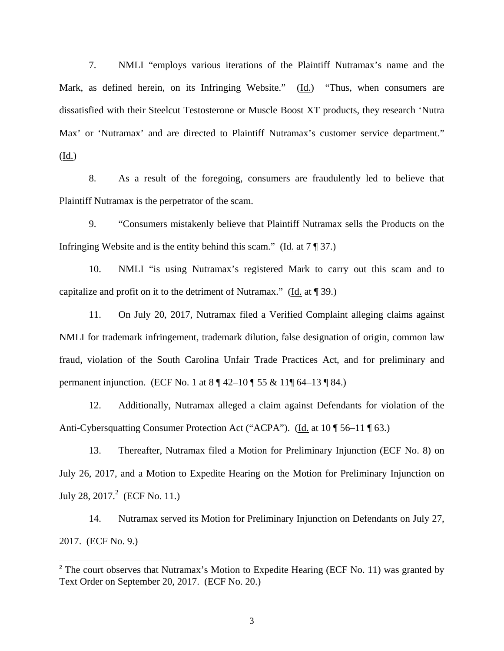7. NMLI "employs various iterations of the Plaintiff Nutramax's name and the Mark, as defined herein, on its Infringing Website." (Id.) "Thus, when consumers are dissatisfied with their Steelcut Testosterone or Muscle Boost XT products, they research 'Nutra Max' or 'Nutramax' and are directed to Plaintiff Nutramax's customer service department." (Id.)

8. As a result of the foregoing, consumers are fraudulently led to believe that Plaintiff Nutramax is the perpetrator of the scam.

9. "Consumers mistakenly believe that Plaintiff Nutramax sells the Products on the Infringing Website and is the entity behind this scam." (Id. at  $7 \sqrt{\ }$  37.)

10. NMLI "is using Nutramax's registered Mark to carry out this scam and to capitalize and profit on it to the detriment of Nutramax." (Id. at ¶ 39.)

11. On July 20, 2017, Nutramax filed a Verified Complaint alleging claims against NMLI for trademark infringement, trademark dilution, false designation of origin, common law fraud, violation of the South Carolina Unfair Trade Practices Act, and for preliminary and permanent injunction. (ECF No. 1 at 8 ¶ 42–10 ¶ 55 & 11¶ 64–13 ¶ 84.)

12. Additionally, Nutramax alleged a claim against Defendants for violation of the Anti-Cybersquatting Consumer Protection Act ("ACPA"). (Id. at 10 ¶ 56–11 ¶ 63.)

13. Thereafter, Nutramax filed a Motion for Preliminary Injunction (ECF No. 8) on July 26, 2017, and a Motion to Expedite Hearing on the Motion for Preliminary Injunction on July 28, 2017. $^2$  (ECF No. 11.)

14. Nutramax served its Motion for Preliminary Injunction on Defendants on July 27, 2017. (ECF No. 9.)

 $2$  The court observes that Nutramax's Motion to Expedite Hearing (ECF No. 11) was granted by Text Order on September 20, 2017. (ECF No. 20.)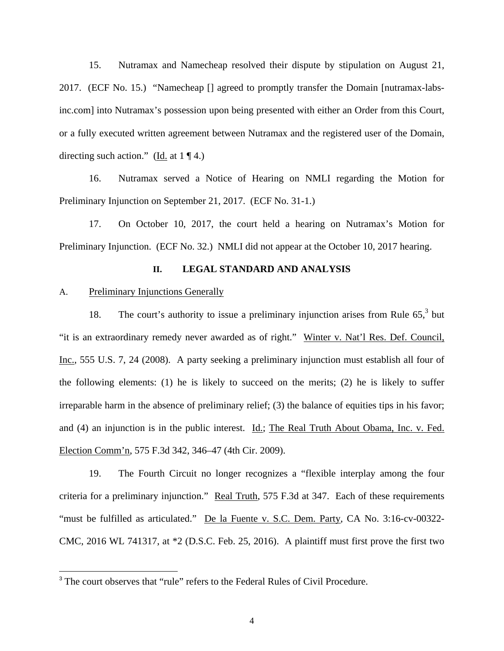15. Nutramax and Namecheap resolved their dispute by stipulation on August 21, 2017. (ECF No. 15.) "Namecheap [] agreed to promptly transfer the Domain [nutramax-labsinc.com] into Nutramax's possession upon being presented with either an Order from this Court, or a fully executed written agreement between Nutramax and the registered user of the Domain, directing such action." (Id. at  $1 \nvert 4$ .)

16. Nutramax served a Notice of Hearing on NMLI regarding the Motion for Preliminary Injunction on September 21, 2017. (ECF No. 31-1.)

17. On October 10, 2017, the court held a hearing on Nutramax's Motion for Preliminary Injunction. (ECF No. 32.) NMLI did not appear at the October 10, 2017 hearing.

## **II. LEGAL STANDARD AND ANALYSIS**

## A. Preliminary Injunctions Generally

 $\overline{a}$ 

18. The court's authority to issue a preliminary injunction arises from Rule  $65<sup>3</sup>$  but "it is an extraordinary remedy never awarded as of right." Winter v. Nat'l Res. Def. Council, Inc., 555 U.S. 7, 24 (2008). A party seeking a preliminary injunction must establish all four of the following elements: (1) he is likely to succeed on the merits; (2) he is likely to suffer irreparable harm in the absence of preliminary relief; (3) the balance of equities tips in his favor; and (4) an injunction is in the public interest. Id.; The Real Truth About Obama, Inc. v. Fed. Election Comm'n, 575 F.3d 342, 346–47 (4th Cir. 2009).

19. The Fourth Circuit no longer recognizes a "flexible interplay among the four criteria for a preliminary injunction." Real Truth, 575 F.3d at 347. Each of these requirements "must be fulfilled as articulated." De la Fuente v. S.C. Dem. Party, CA No. 3:16-cv-00322- CMC, 2016 WL 741317, at \*2 (D.S.C. Feb. 25, 2016). A plaintiff must first prove the first two

<sup>&</sup>lt;sup>3</sup> The court observes that "rule" refers to the Federal Rules of Civil Procedure.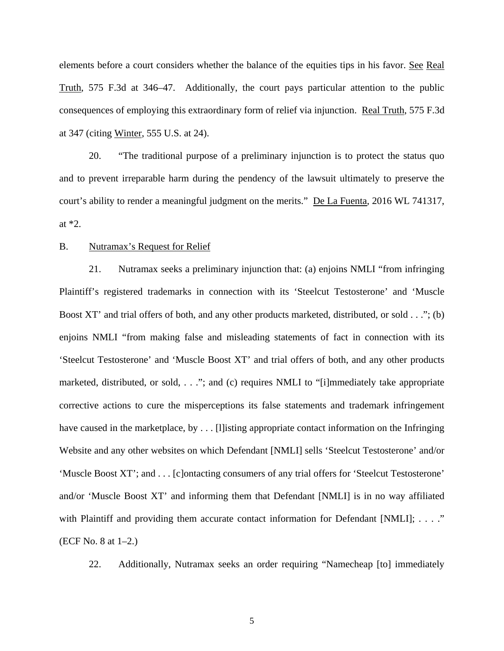elements before a court considers whether the balance of the equities tips in his favor. See Real Truth, 575 F.3d at 346–47. Additionally, the court pays particular attention to the public consequences of employing this extraordinary form of relief via injunction. Real Truth, 575 F.3d at 347 (citing Winter, 555 U.S. at 24).

20. "The traditional purpose of a preliminary injunction is to protect the status quo and to prevent irreparable harm during the pendency of the lawsuit ultimately to preserve the court's ability to render a meaningful judgment on the merits." De La Fuenta, 2016 WL 741317, at \*2.

## B. Nutramax's Request for Relief

21. Nutramax seeks a preliminary injunction that: (a) enjoins NMLI "from infringing Plaintiff's registered trademarks in connection with its 'Steelcut Testosterone' and 'Muscle Boost XT' and trial offers of both, and any other products marketed, distributed, or sold . . ."; (b) enjoins NMLI "from making false and misleading statements of fact in connection with its 'Steelcut Testosterone' and 'Muscle Boost XT' and trial offers of both, and any other products marketed, distributed, or sold, . . ."; and (c) requires NMLI to "[i]mmediately take appropriate corrective actions to cure the misperceptions its false statements and trademark infringement have caused in the marketplace, by . . . [I] isting appropriate contact information on the Infringing Website and any other websites on which Defendant [NMLI] sells 'Steelcut Testosterone' and/or 'Muscle Boost XT'; and . . . [c]ontacting consumers of any trial offers for 'Steelcut Testosterone' and/or 'Muscle Boost XT' and informing them that Defendant [NMLI] is in no way affiliated with Plaintiff and providing them accurate contact information for Defendant [NMLI]; . . . ." (ECF No. 8 at 1–2.)

22. Additionally, Nutramax seeks an order requiring "Namecheap [to] immediately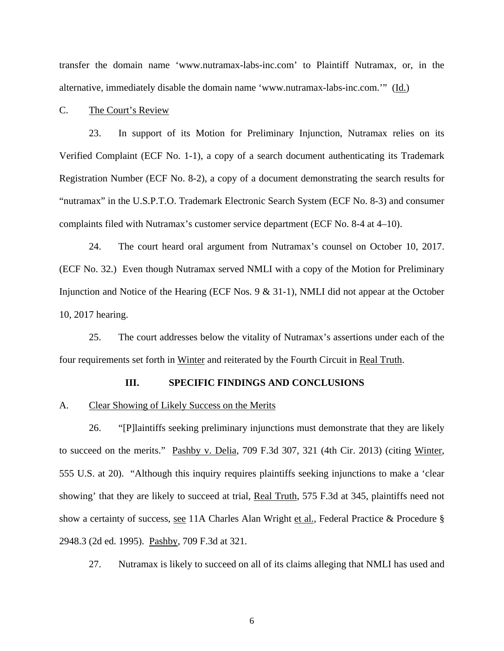transfer the domain name 'www.nutramax-labs-inc.com' to Plaintiff Nutramax, or, in the alternative, immediately disable the domain name 'www.nutramax-labs-inc.com.'" (Id.)

C. The Court's Review

23. In support of its Motion for Preliminary Injunction, Nutramax relies on its Verified Complaint (ECF No. 1-1), a copy of a search document authenticating its Trademark Registration Number (ECF No. 8-2), a copy of a document demonstrating the search results for "nutramax" in the U.S.P.T.O. Trademark Electronic Search System (ECF No. 8-3) and consumer complaints filed with Nutramax's customer service department (ECF No. 8-4 at 4–10).

24. The court heard oral argument from Nutramax's counsel on October 10, 2017. (ECF No. 32.) Even though Nutramax served NMLI with a copy of the Motion for Preliminary Injunction and Notice of the Hearing (ECF Nos. 9 & 31-1), NMLI did not appear at the October 10, 2017 hearing.

25. The court addresses below the vitality of Nutramax's assertions under each of the four requirements set forth in Winter and reiterated by the Fourth Circuit in Real Truth.

## **III. SPECIFIC FINDINGS AND CONCLUSIONS**

#### A. Clear Showing of Likely Success on the Merits

26. "[P]laintiffs seeking preliminary injunctions must demonstrate that they are likely to succeed on the merits." Pashby v. Delia, 709 F.3d 307, 321 (4th Cir. 2013) (citing Winter, 555 U.S. at 20). "Although this inquiry requires plaintiffs seeking injunctions to make a 'clear showing' that they are likely to succeed at trial, Real Truth, 575 F.3d at 345, plaintiffs need not show a certainty of success, see 11A Charles Alan Wright et al., Federal Practice & Procedure § 2948.3 (2d ed. 1995). Pashby, 709 F.3d at 321.

27. Nutramax is likely to succeed on all of its claims alleging that NMLI has used and

 $\overline{6}$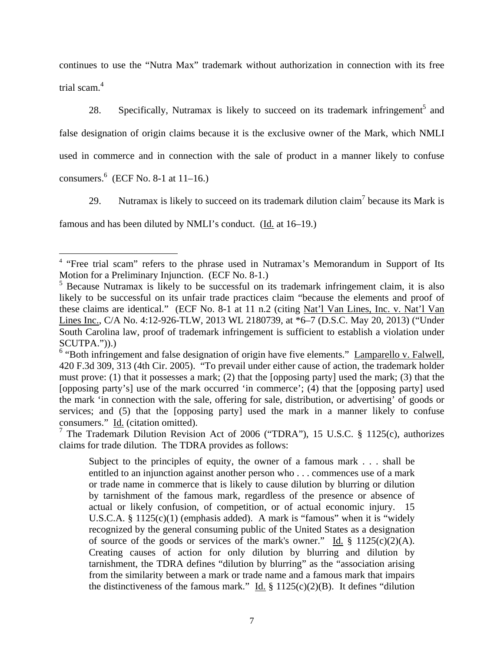continues to use the "Nutra Max" trademark without authorization in connection with its free trial scam.<sup>4</sup>

28. Specifically, Nutramax is likely to succeed on its trademark infringement<sup>5</sup> and false designation of origin claims because it is the exclusive owner of the Mark, which NMLI used in commerce and in connection with the sale of product in a manner likely to confuse consumers. $6$  (ECF No. 8-1 at 11–16.)

29. Nutramax is likely to succeed on its trademark dilution claim<sup>7</sup> because its Mark is famous and has been diluted by NMLI's conduct. (Id. at 16–19.)

 $\overline{a}$ 

<sup>&</sup>lt;sup>4</sup> "Free trial scam" refers to the phrase used in Nutramax's Memorandum in Support of Its Motion for a Preliminary Injunction. (ECF No. 8-1.)

<sup>&</sup>lt;sup>5</sup> Because Nutramax is likely to be successful on its trademark infringement claim, it is also likely to be successful on its unfair trade practices claim "because the elements and proof of these claims are identical." (ECF No. 8-1 at 11 n.2 (citing Nat'l Van Lines, Inc. v. Nat'l Van Lines Inc., C/A No. 4:12-926-TLW, 2013 WL 2180739, at \*6–7 (D.S.C. May 20, 2013) ("Under South Carolina law, proof of trademark infringement is sufficient to establish a violation under SCUTPA.")).)

<sup>&</sup>lt;sup>6</sup> "Both infringement and false designation of origin have five elements." Lamparello v. Falwell, 420 F.3d 309, 313 (4th Cir. 2005). "To prevail under either cause of action, the trademark holder must prove: (1) that it possesses a mark; (2) that the [opposing party] used the mark; (3) that the [opposing party's] use of the mark occurred 'in commerce'; (4) that the [opposing party] used the mark 'in connection with the sale, offering for sale, distribution, or advertising' of goods or services; and (5) that the [opposing party] used the mark in a manner likely to confuse consumers." Id. (citation omitted).

<sup>&</sup>lt;sup>7</sup> The Trademark Dilution Revision Act of 2006 ("TDRA"), 15 U.S.C. § 1125(c), authorizes claims for trade dilution. The TDRA provides as follows:

Subject to the principles of equity, the owner of a famous mark . . . shall be entitled to an injunction against another person who . . . commences use of a mark or trade name in commerce that is likely to cause dilution by blurring or dilution by tarnishment of the famous mark, regardless of the presence or absence of actual or likely confusion, of competition, or of actual economic injury. 15 U.S.C.A.  $\S 1125(c)(1)$  (emphasis added). A mark is "famous" when it is "widely recognized by the general consuming public of the United States as a designation of source of the goods or services of the mark's owner." Id.  $\S$  1125(c)(2)(A). Creating causes of action for only dilution by blurring and dilution by tarnishment, the TDRA defines "dilution by blurring" as the "association arising from the similarity between a mark or trade name and a famous mark that impairs the distinctiveness of the famous mark." Id.  $\S$  1125(c)(2)(B). It defines "dilution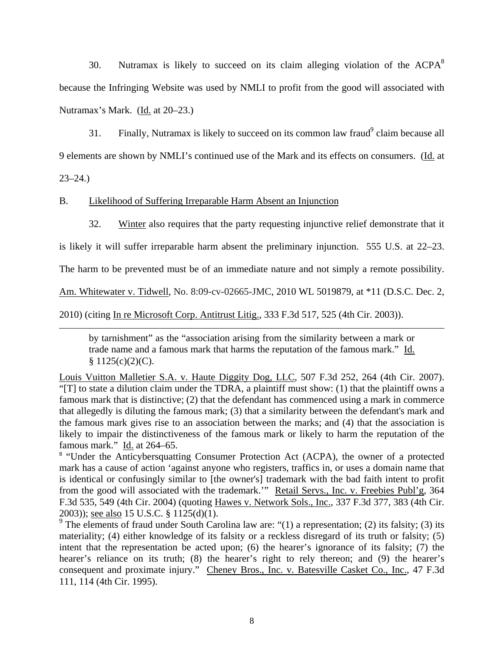30. Nutramax is likely to succeed on its claim alleging violation of the  $ACPA<sup>8</sup>$ because the Infringing Website was used by NMLI to profit from the good will associated with Nutramax's Mark. (Id. at 20–23.)

31. Finally, Nutramax is likely to succeed on its common law fraud<sup>9</sup> claim because all 9 elements are shown by NMLI's continued use of the Mark and its effects on consumers. (Id. at

23–24.)

B. Likelihood of Suffering Irreparable Harm Absent an Injunction

32. Winter also requires that the party requesting injunctive relief demonstrate that it

is likely it will suffer irreparable harm absent the preliminary injunction. 555 U.S. at 22–23.

The harm to be prevented must be of an immediate nature and not simply a remote possibility.

Am. Whitewater v. Tidwell, No. 8:09-cv-02665-JMC, 2010 WL 5019879, at \*11 (D.S.C. Dec. 2,

2010) (citing In re Microsoft Corp. Antitrust Litig., 333 F.3d 517, 525 (4th Cir. 2003)).

by tarnishment" as the "association arising from the similarity between a mark or trade name and a famous mark that harms the reputation of the famous mark." Id.  $$1125(c)(2)(C).$ 

Louis Vuitton Malletier S.A. v. Haute Diggity Dog, LLC, 507 F.3d 252, 264 (4th Cir. 2007). "[T] to state a dilution claim under the TDRA, a plaintiff must show: (1) that the plaintiff owns a famous mark that is distinctive; (2) that the defendant has commenced using a mark in commerce that allegedly is diluting the famous mark; (3) that a similarity between the defendant's mark and the famous mark gives rise to an association between the marks; and (4) that the association is likely to impair the distinctiveness of the famous mark or likely to harm the reputation of the famous mark." Id. at 264–65.

<sup>8</sup> "Under the Anticybersquatting Consumer Protection Act (ACPA), the owner of a protected mark has a cause of action 'against anyone who registers, traffics in, or uses a domain name that is identical or confusingly similar to [the owner's] trademark with the bad faith intent to profit from the good will associated with the trademark." Retail Servs., Inc. v. Freebies Publ'g, 364 F.3d 535, 549 (4th Cir. 2004) (quoting Hawes v. Network Sols., Inc., 337 F.3d 377, 383 (4th Cir. 2003)); see also 15 U.S.C. § 1125(d)(1).

<sup>9</sup> The elements of fraud under South Carolina law are: "(1) a representation; (2) its falsity; (3) its materiality; (4) either knowledge of its falsity or a reckless disregard of its truth or falsity; (5) intent that the representation be acted upon; (6) the hearer's ignorance of its falsity; (7) the hearer's reliance on its truth; (8) the hearer's right to rely thereon; and (9) the hearer's consequent and proximate injury." Cheney Bros., Inc. v. Batesville Casket Co., Inc., 47 F.3d 111, 114 (4th Cir. 1995).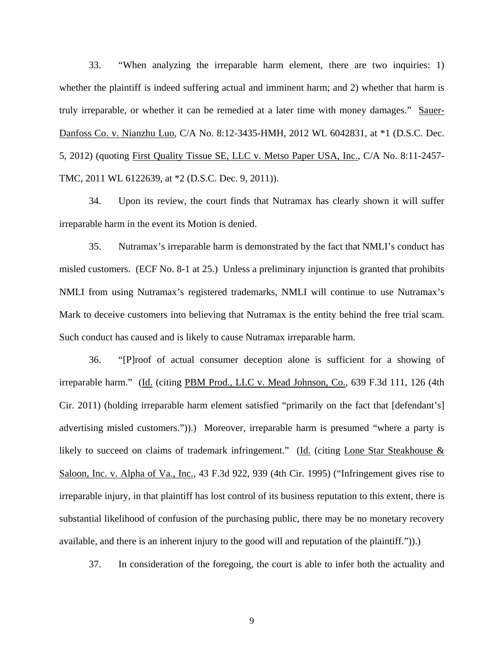33. "When analyzing the irreparable harm element, there are two inquiries: 1) whether the plaintiff is indeed suffering actual and imminent harm; and 2) whether that harm is truly irreparable, or whether it can be remedied at a later time with money damages." Sauer-Danfoss Co. v. Nianzhu Luo, C/A No. 8:12-3435-HMH, 2012 WL 6042831, at \*1 (D.S.C. Dec. 5, 2012) (quoting First Quality Tissue SE, LLC v. Metso Paper USA, Inc., C/A No. 8:11-2457- TMC, 2011 WL 6122639, at \*2 (D.S.C. Dec. 9, 2011)).

34. Upon its review, the court finds that Nutramax has clearly shown it will suffer irreparable harm in the event its Motion is denied.

35. Nutramax's irreparable harm is demonstrated by the fact that NMLI's conduct has misled customers. (ECF No. 8-1 at 25.) Unless a preliminary injunction is granted that prohibits NMLI from using Nutramax's registered trademarks, NMLI will continue to use Nutramax's Mark to deceive customers into believing that Nutramax is the entity behind the free trial scam. Such conduct has caused and is likely to cause Nutramax irreparable harm.

36. "[P]roof of actual consumer deception alone is sufficient for a showing of irreparable harm." (Id. (citing PBM Prod., LLC v. Mead Johnson, Co., 639 F.3d 111, 126 (4th Cir. 2011) (holding irreparable harm element satisfied "primarily on the fact that [defendant's] advertising misled customers.")).) Moreover, irreparable harm is presumed "where a party is likely to succeed on claims of trademark infringement." (Id. (citing Lone Star Steakhouse & Saloon, Inc. v. Alpha of Va., Inc., 43 F.3d 922, 939 (4th Cir. 1995) ("Infringement gives rise to irreparable injury, in that plaintiff has lost control of its business reputation to this extent, there is substantial likelihood of confusion of the purchasing public, there may be no monetary recovery available, and there is an inherent injury to the good will and reputation of the plaintiff.")).)

37. In consideration of the foregoing, the court is able to infer both the actuality and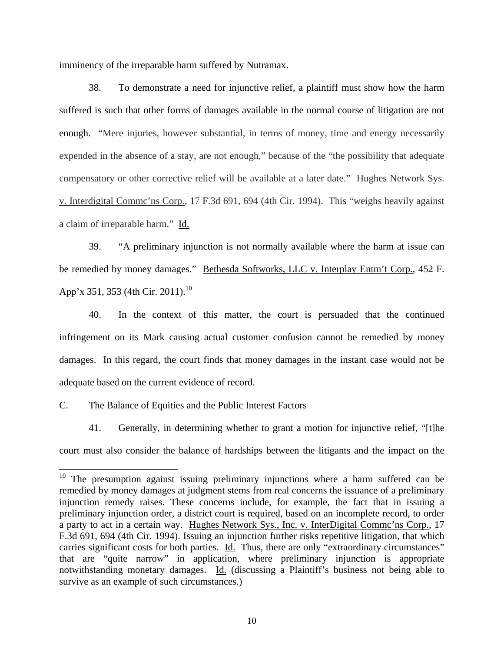imminency of the irreparable harm suffered by Nutramax.

38. To demonstrate a need for injunctive relief, a plaintiff must show how the harm suffered is such that other forms of damages available in the normal course of litigation are not enough. "Mere injuries, however substantial, in terms of money, time and energy necessarily expended in the absence of a stay, are not enough," because of the "the possibility that adequate compensatory or other corrective relief will be available at a later date." Hughes Network Sys. v. Interdigital Commc'ns Corp., 17 F.3d 691, 694 (4th Cir. 1994). This "weighs heavily against a claim of irreparable harm." Id.

39. "A preliminary injunction is not normally available where the harm at issue can be remedied by money damages." Bethesda Softworks, LLC v. Interplay Entm't Corp., 452 F. App'x 351, 353 (4th Cir. 2011).<sup>10</sup>

40. In the context of this matter, the court is persuaded that the continued infringement on its Mark causing actual customer confusion cannot be remedied by money damages. In this regard, the court finds that money damages in the instant case would not be adequate based on the current evidence of record.

C. The Balance of Equities and the Public Interest Factors

 $\overline{a}$ 

41. Generally, in determining whether to grant a motion for injunctive relief, "[t]he court must also consider the balance of hardships between the litigants and the impact on the

 $10$  The presumption against issuing preliminary injunctions where a harm suffered can be remedied by money damages at judgment stems from real concerns the issuance of a preliminary injunction remedy raises. These concerns include, for example, the fact that in issuing a preliminary injunction order, a district court is required, based on an incomplete record, to order a party to act in a certain way. Hughes Network Sys., Inc. v. InterDigital Commc'ns Corp., 17 F.3d 691, 694 (4th Cir. 1994). Issuing an injunction further risks repetitive litigation, that which carries significant costs for both parties. Id. Thus, there are only "extraordinary circumstances" that are "quite narrow" in application, where preliminary injunction is appropriate notwithstanding monetary damages. Id. (discussing a Plaintiff's business not being able to survive as an example of such circumstances.)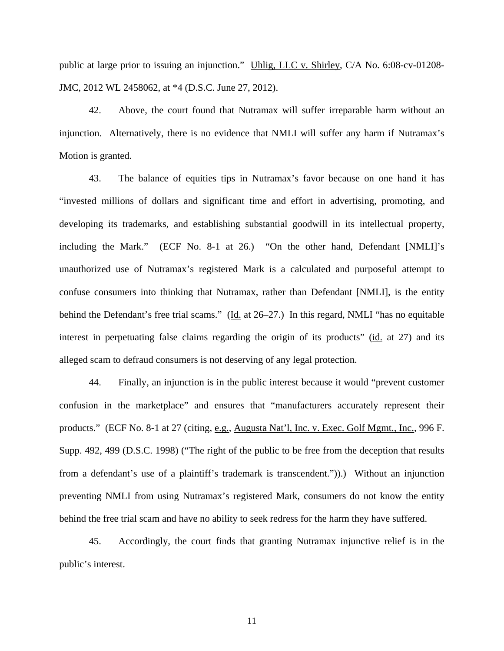public at large prior to issuing an injunction." Uhlig, LLC v. Shirley, C/A No. 6:08-cv-01208- JMC, 2012 WL 2458062, at \*4 (D.S.C. June 27, 2012).

42. Above, the court found that Nutramax will suffer irreparable harm without an injunction. Alternatively, there is no evidence that NMLI will suffer any harm if Nutramax's Motion is granted.

43. The balance of equities tips in Nutramax's favor because on one hand it has "invested millions of dollars and significant time and effort in advertising, promoting, and developing its trademarks, and establishing substantial goodwill in its intellectual property, including the Mark." (ECF No. 8-1 at 26.) "On the other hand, Defendant [NMLI]'s unauthorized use of Nutramax's registered Mark is a calculated and purposeful attempt to confuse consumers into thinking that Nutramax, rather than Defendant [NMLI], is the entity behind the Defendant's free trial scams." (Id. at 26–27.) In this regard, NMLI "has no equitable interest in perpetuating false claims regarding the origin of its products" (id. at 27) and its alleged scam to defraud consumers is not deserving of any legal protection.

44. Finally, an injunction is in the public interest because it would "prevent customer confusion in the marketplace" and ensures that "manufacturers accurately represent their products." (ECF No. 8-1 at 27 (citing, e.g., Augusta Nat'l, Inc. v. Exec. Golf Mgmt., Inc., 996 F. Supp. 492, 499 (D.S.C. 1998) ("The right of the public to be free from the deception that results from a defendant's use of a plaintiff's trademark is transcendent.")).) Without an injunction preventing NMLI from using Nutramax's registered Mark, consumers do not know the entity behind the free trial scam and have no ability to seek redress for the harm they have suffered.

45. Accordingly, the court finds that granting Nutramax injunctive relief is in the public's interest.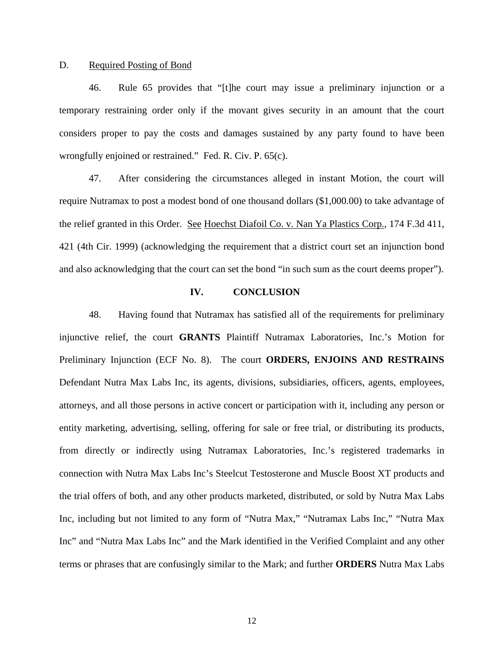#### D. Required Posting of Bond

46. Rule 65 provides that "[t]he court may issue a preliminary injunction or a temporary restraining order only if the movant gives security in an amount that the court considers proper to pay the costs and damages sustained by any party found to have been wrongfully enjoined or restrained." Fed. R. Civ. P. 65(c).

47. After considering the circumstances alleged in instant Motion, the court will require Nutramax to post a modest bond of one thousand dollars (\$1,000.00) to take advantage of the relief granted in this Order. See Hoechst Diafoil Co. v. Nan Ya Plastics Corp., 174 F.3d 411, 421 (4th Cir. 1999) (acknowledging the requirement that a district court set an injunction bond and also acknowledging that the court can set the bond "in such sum as the court deems proper").

#### **IV. CONCLUSION**

48. Having found that Nutramax has satisfied all of the requirements for preliminary injunctive relief, the court **GRANTS** Plaintiff Nutramax Laboratories, Inc.'s Motion for Preliminary Injunction (ECF No. 8). The court **ORDERS, ENJOINS AND RESTRAINS** Defendant Nutra Max Labs Inc, its agents, divisions, subsidiaries, officers, agents, employees, attorneys, and all those persons in active concert or participation with it, including any person or entity marketing, advertising, selling, offering for sale or free trial, or distributing its products, from directly or indirectly using Nutramax Laboratories, Inc.'s registered trademarks in connection with Nutra Max Labs Inc's Steelcut Testosterone and Muscle Boost XT products and the trial offers of both, and any other products marketed, distributed, or sold by Nutra Max Labs Inc, including but not limited to any form of "Nutra Max," "Nutramax Labs Inc," "Nutra Max Inc" and "Nutra Max Labs Inc" and the Mark identified in the Verified Complaint and any other terms or phrases that are confusingly similar to the Mark; and further **ORDERS** Nutra Max Labs